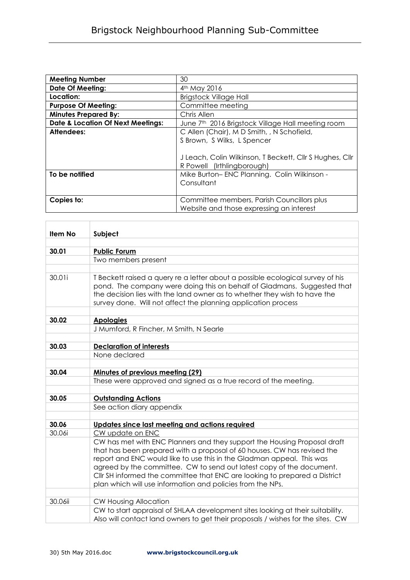| <b>Meeting Number</b>                        | 30                                                            |
|----------------------------------------------|---------------------------------------------------------------|
| <b>Date Of Meeting:</b>                      | 4 <sup>th</sup> May 2016                                      |
| Location:                                    | <b>Brigstock Village Hall</b>                                 |
| <b>Purpose Of Meeting:</b>                   | Committee meeting                                             |
| <b>Minutes Prepared By:</b>                  | Chris Allen                                                   |
| <b>Date &amp; Location Of Next Meetings:</b> | June 7 <sup>th</sup> 2016 Brigstock Village Hall meeting room |
| Attendees:                                   | C Allen (Chair), M D Smith, , N Schofield,                    |
|                                              | S Brown, S Wilks, L Spencer                                   |
|                                              |                                                               |
|                                              | J Leach, Colin Wilkinson, T Beckett, Cllr S Hughes, Cllr      |
|                                              | R Powell (Irthlingborough)                                    |
| To be notified                               | Mike Burton-ENC Planning. Colin Wilkinson -                   |
|                                              | Consultant                                                    |
|                                              |                                                               |
| Copies to:                                   | Committee members, Parish Councillors plus                    |
|                                              | Website and those expressing an interest                      |

| Item No | Subject                                                                                                                                                                                                                                                                                                                                                                                                                                                              |
|---------|----------------------------------------------------------------------------------------------------------------------------------------------------------------------------------------------------------------------------------------------------------------------------------------------------------------------------------------------------------------------------------------------------------------------------------------------------------------------|
|         |                                                                                                                                                                                                                                                                                                                                                                                                                                                                      |
| 30.01   | <b>Public Forum</b>                                                                                                                                                                                                                                                                                                                                                                                                                                                  |
|         | Two members present                                                                                                                                                                                                                                                                                                                                                                                                                                                  |
|         |                                                                                                                                                                                                                                                                                                                                                                                                                                                                      |
| 30.01i  | T Beckett raised a query re a letter about a possible ecological survey of his<br>pond. The company were doing this on behalf of Gladmans. Suggested that<br>the decision lies with the land owner as to whether they wish to have the<br>survey done. Will not affect the planning application process                                                                                                                                                              |
| 30.02   | <b>Apologies</b>                                                                                                                                                                                                                                                                                                                                                                                                                                                     |
|         | J Mumford, R Fincher, M Smith, N Searle                                                                                                                                                                                                                                                                                                                                                                                                                              |
|         |                                                                                                                                                                                                                                                                                                                                                                                                                                                                      |
| 30.03   | <b>Declaration of interests</b>                                                                                                                                                                                                                                                                                                                                                                                                                                      |
|         | None declared                                                                                                                                                                                                                                                                                                                                                                                                                                                        |
|         |                                                                                                                                                                                                                                                                                                                                                                                                                                                                      |
| 30.04   | <b>Minutes of previous meeting (29)</b>                                                                                                                                                                                                                                                                                                                                                                                                                              |
|         | These were approved and signed as a true record of the meeting.                                                                                                                                                                                                                                                                                                                                                                                                      |
|         |                                                                                                                                                                                                                                                                                                                                                                                                                                                                      |
| 30.05   | <b>Outstanding Actions</b>                                                                                                                                                                                                                                                                                                                                                                                                                                           |
|         | See action diary appendix                                                                                                                                                                                                                                                                                                                                                                                                                                            |
|         |                                                                                                                                                                                                                                                                                                                                                                                                                                                                      |
| 30.06   | Updates since last meeting and actions required                                                                                                                                                                                                                                                                                                                                                                                                                      |
| 30.06i  | CW update on ENC<br>CW has met with ENC Planners and they support the Housing Proposal draft<br>that has been prepared with a proposal of 60 houses. CW has revised the<br>report and ENC would like to use this in the Gladman appeal. This was<br>agreed by the committee. CW to send out latest copy of the document.<br>Cllr SH informed the committee that ENC are looking to prepared a District<br>plan which will use information and policies from the NPs. |
| 30.06ii | <b>CW Housing Allocation</b>                                                                                                                                                                                                                                                                                                                                                                                                                                         |
|         | CW to start appraisal of SHLAA development sites looking at their suitability.<br>Also will contact land owners to get their proposals / wishes for the sites. CW                                                                                                                                                                                                                                                                                                    |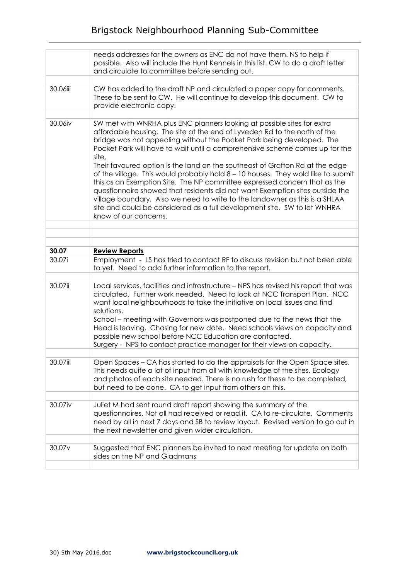|                    | needs addresses for the owners as ENC do not have them. NS to help if<br>possible. Also will include the Hunt Kennels in this list. CW to do a draft letter<br>and circulate to committee before sending out.                                                                                                                                                                                                                                                                                                                                                                                                                                                                                                                                                                                                                              |
|--------------------|--------------------------------------------------------------------------------------------------------------------------------------------------------------------------------------------------------------------------------------------------------------------------------------------------------------------------------------------------------------------------------------------------------------------------------------------------------------------------------------------------------------------------------------------------------------------------------------------------------------------------------------------------------------------------------------------------------------------------------------------------------------------------------------------------------------------------------------------|
|                    |                                                                                                                                                                                                                                                                                                                                                                                                                                                                                                                                                                                                                                                                                                                                                                                                                                            |
| 30.06iii           | CW has added to the draft NP and circulated a paper copy for comments.<br>These to be sent to CW. He will continue to develop this document. CW to<br>provide electronic copy.                                                                                                                                                                                                                                                                                                                                                                                                                                                                                                                                                                                                                                                             |
|                    |                                                                                                                                                                                                                                                                                                                                                                                                                                                                                                                                                                                                                                                                                                                                                                                                                                            |
| 30.06iv            | SW met with WNRHA plus ENC planners looking at possible sites for extra<br>affordable housing. The site at the end of Lyveden Rd to the north of the<br>bridge was not appealing without the Pocket Park being developed. The<br>Pocket Park will have to wait until a comprehensive scheme comes up for the<br>site.<br>Their favoured option is the land on the southeast of Grafton Rd at the edge<br>of the village. This would probably hold 8 - 10 houses. They wold like to submit<br>this as an Exemption Site. The NP committee expressed concern that as the<br>questionnaire showed that residents did not want Exemption sites outside the<br>village boundary. Also we need to write to the landowner as this is a SHLAA<br>site and could be considered as a full development site. SW to let WNHRA<br>know of our concerns. |
|                    |                                                                                                                                                                                                                                                                                                                                                                                                                                                                                                                                                                                                                                                                                                                                                                                                                                            |
|                    |                                                                                                                                                                                                                                                                                                                                                                                                                                                                                                                                                                                                                                                                                                                                                                                                                                            |
|                    |                                                                                                                                                                                                                                                                                                                                                                                                                                                                                                                                                                                                                                                                                                                                                                                                                                            |
| 30.07              | <b>Review Reports</b>                                                                                                                                                                                                                                                                                                                                                                                                                                                                                                                                                                                                                                                                                                                                                                                                                      |
| 30.07i             | Employment - LS has tried to contact RF to discuss revision but not been able<br>to yet. Need to add further information to the report.                                                                                                                                                                                                                                                                                                                                                                                                                                                                                                                                                                                                                                                                                                    |
|                    |                                                                                                                                                                                                                                                                                                                                                                                                                                                                                                                                                                                                                                                                                                                                                                                                                                            |
| 30.07ii            | Local services, facilities and infrastructure - NPS has revised his report that was<br>circulated. Further work needed. Need to look at NCC Transport Plan. NCC<br>want local neighbourhoods to take the initiative on local issues and find<br>solutions.<br>School – meeting with Governors was postponed due to the news that the<br>Head is leaving. Chasing for new date. Need schools views on capacity and<br>possible new school before NCC Education are contacted.<br>Surgery - NPS to contact practice manager for their views on capacity.                                                                                                                                                                                                                                                                                     |
|                    |                                                                                                                                                                                                                                                                                                                                                                                                                                                                                                                                                                                                                                                                                                                                                                                                                                            |
| 30.07iii           | Open Spaces – CA has started to do the appraisals for the Open Space sites.<br>This needs quite a lot of input from all with knowledge of the sites. Ecology<br>and photos of each site needed. There is no rush for these to be completed,<br>but need to be done. CA to get input from others on this.                                                                                                                                                                                                                                                                                                                                                                                                                                                                                                                                   |
|                    |                                                                                                                                                                                                                                                                                                                                                                                                                                                                                                                                                                                                                                                                                                                                                                                                                                            |
| 30.07iv            | Juliet M had sent round draft report showing the summary of the<br>questionnaires. Not all had received or read it. CA to re-circulate. Comments<br>need by all in next 7 days and SB to review layout. Revised version to go out in<br>the next newsletter and given wider circulation.                                                                                                                                                                                                                                                                                                                                                                                                                                                                                                                                                   |
|                    |                                                                                                                                                                                                                                                                                                                                                                                                                                                                                                                                                                                                                                                                                                                                                                                                                                            |
| 30.07 <sub>v</sub> |                                                                                                                                                                                                                                                                                                                                                                                                                                                                                                                                                                                                                                                                                                                                                                                                                                            |
|                    | Suggested that ENC planners be invited to next meeting for update on both<br>sides on the NP and Gladmans                                                                                                                                                                                                                                                                                                                                                                                                                                                                                                                                                                                                                                                                                                                                  |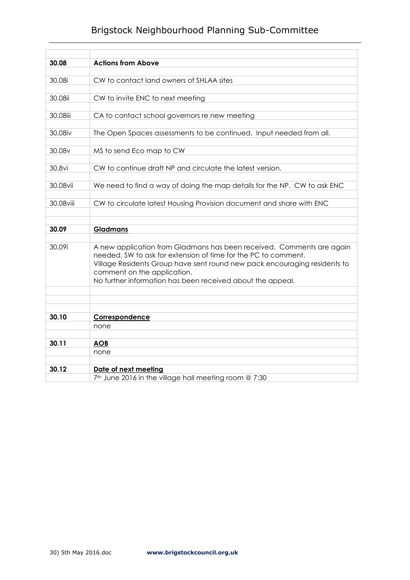## Brigstock Neighbourhood Planning Sub-Committee

| 30.08     | <b>Actions from Above</b>                                                 |
|-----------|---------------------------------------------------------------------------|
| 30.08i    | CW to contact land owners of SHLAA sites                                  |
|           |                                                                           |
| 30.08ii   | CW to invite ENC to next meeting                                          |
|           |                                                                           |
| 30.08iii  | CA to contact school governors re new meeting                             |
| 30.08iv   | The Open Spaces assessments to be continued. Input needed from all.       |
|           |                                                                           |
| 30.08v    | MS to send Eco map to CW                                                  |
|           |                                                                           |
| 30.8vi    | CW to continue draft NP and circulate the latest version.                 |
|           |                                                                           |
| 30.08vii  | We need to find a way of doing the map details for the NP. CW to ask ENC  |
| 30.08viii | CW to circulate latest Housing Provision document and share with ENC      |
|           |                                                                           |
|           |                                                                           |
| 30.09     | <b>Gladmans</b>                                                           |
| 30.09i    | A new application from Gladmans has been received. Comments are again     |
|           | needed. SW to ask for extension of time for the PC to comment.            |
|           | Village Residents Group have sent round new pack encouraging residents to |
|           | comment on the application.                                               |
|           | No further information has been received about the appeal.                |
|           |                                                                           |
|           |                                                                           |
| 30.10     | Correspondence                                                            |
|           | none                                                                      |
|           |                                                                           |
| 30.11     | <b>AOB</b>                                                                |
|           | none                                                                      |
| 30.12     | Date of next meeting                                                      |
|           | 7 <sup>th</sup> June 2016 in the village hall meeting room @ 7:30         |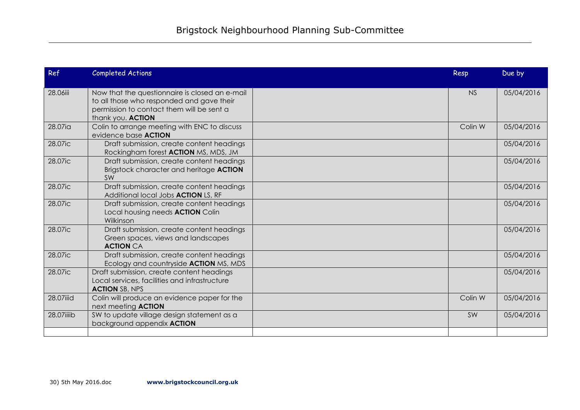| Ref        | <b>Completed Actions</b>                                                                                                                                      | Resp      | Due by     |
|------------|---------------------------------------------------------------------------------------------------------------------------------------------------------------|-----------|------------|
| 28.06iii   | Now that the questionnaire is closed an e-mail<br>to all those who responded and gave their<br>permission to contact them will be sent a<br>thank you. ACTION | <b>NS</b> | 05/04/2016 |
| 28.07ia    | Colin to arrange meeting with ENC to discuss<br>evidence base <b>ACTION</b>                                                                                   | Colin W   | 05/04/2016 |
| 28.07ic    | Draft submission, create content headings<br>Rockingham forest <b>ACTION</b> MS, MDS, JM                                                                      |           | 05/04/2016 |
| 28.07ic    | Draft submission, create content headings<br>Brigstock character and heritage ACTION<br>SW                                                                    |           | 05/04/2016 |
| 28.07ic    | Draft submission, create content headings<br>Additional local Jobs <b>ACTION</b> LS, RF                                                                       |           | 05/04/2016 |
| 28.07ic    | Draft submission, create content headings<br>Local housing needs <b>ACTION</b> Colin<br>Wilkinson                                                             |           | 05/04/2016 |
| 28.07ic    | Draft submission, create content headings<br>Green spaces, views and landscapes<br><b>ACTION CA</b>                                                           |           | 05/04/2016 |
| 28.07ic    | Draft submission, create content headings<br>Ecology and countryside ACTION MS, MDS                                                                           |           | 05/04/2016 |
| 28.07ic    | Draft submission, create content headings<br>Local services, facilities and infrastructure<br><b>ACTION SB, NPS</b>                                           |           | 05/04/2016 |
| 28.07iiid  | Colin will produce an evidence paper for the<br>next meeting <b>ACTION</b>                                                                                    | Colin W   | 05/04/2016 |
| 28.07iiiib | SW to update village design statement as a<br>background appendix <b>ACTION</b>                                                                               | SW        | 05/04/2016 |
|            |                                                                                                                                                               |           |            |